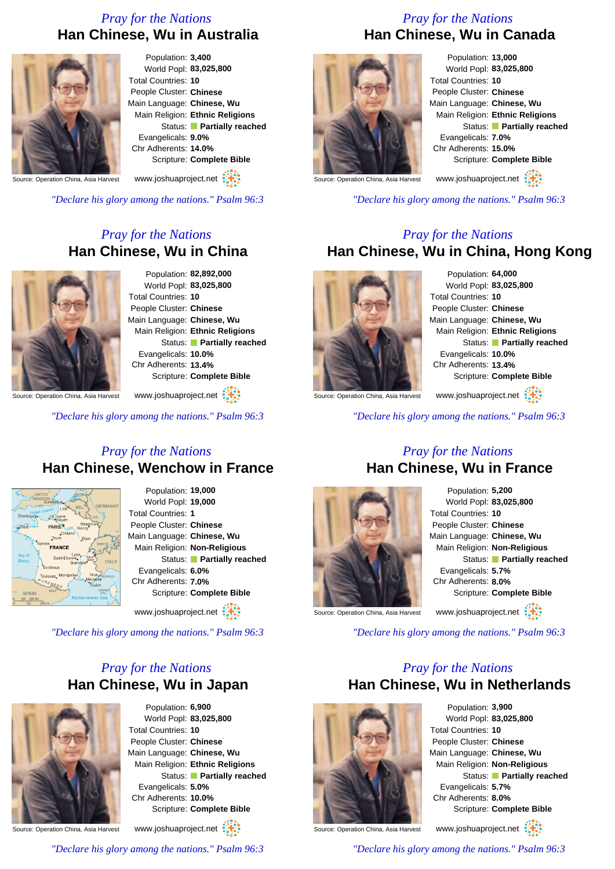## *Pray for the Nations* **Han Chinese, Wu in Australia**



Population: **3,400** World Popl: **83,025,800** Total Countries: **10** People Cluster: **Chinese** Main Language: **Chinese, Wu** Main Religion: **Ethnic Religions** Status: **Partially reached** Evangelicals: **9.0%** Chr Adherents: **14.0%** Scripture: **Complete Bible**

www.joshuaproject.net

ource: Operation China, Asia Harvest

*"Declare his glory among the nations." Psalm 96:3*

## *Pray for the Nations* **Han Chinese, Wu in China**



Population: **82,892,000** World Popl: **83,025,800** Total Countries: **10** People Cluster: **Chinese** Main Language: **Chinese, Wu** Main Religion: **Ethnic Religions** Status: **Partially reached** Evangelicals: **10.0%** Chr Adherents: **13.4%** Scripture: **Complete Bible**

Source: Operation China, Asia Harvest www.joshuaproject.net

*"Declare his glory among the nations." Psalm 96:3*

#### *Pray for the Nations* **Han Chinese, Wenchow in France**



Population: **19,000** World Popl: **19,000** Total Countries: **1** People Cluster: **Chinese** Main Language: **Chinese, Wu** Main Religion: **Non-Religious** Status: **Partially reached** Evangelicals: **6.0%** Chr Adherents: **7.0%** Scripture: **Complete Bible**

www.joshuaproject.net

*"Declare his glory among the nations." Psalm 96:3*

## *Pray for the Nations* **Han Chinese, Wu in Japan**



Population: **6,900** World Popl: **83,025,800** Total Countries: **10** People Cluster: **Chinese** Main Language: **Chinese, Wu** Main Religion: **Ethnic Religions** Status: **Partially reached** Evangelicals: **5.0%** Chr Adherents: **10.0%** Scripture: **Complete Bible** www.joshuaproject.net

Source: Operation China, Asia Harvest

*"Declare his glory among the nations." Psalm 96:3*

# *Pray for the Nations* **Han Chinese, Wu in Canada**



Population: **13,000** World Popl: **83,025,800** Total Countries: **10** People Cluster: **Chinese** Main Language: **Chinese, Wu** Main Religion: **Ethnic Religions** Status: **Partially reached** Evangelicals: **7.0%** Chr Adherents: **15.0%** Scripture: **Complete Bible**

www.joshuaproject.net

Source: Operation China, Asia Harvest

*"Declare his glory among the nations." Psalm 96:3*

#### *Pray for the Nations* **Han Chinese, Wu in China, Hong Kong**



Population: **64,000** World Popl: **83,025,800** Total Countries: **10** People Cluster: **Chinese** Main Language: **Chinese, Wu** Main Religion: **Ethnic Religions** Status: **Partially reached** Evangelicals: **10.0%** Chr Adherents: **13.4%** Scripture: **Complete Bible**

www.joshuaproject.net

Source: Operation China, Asia Harvest

*"Declare his glory among the nations." Psalm 96:3*

#### *Pray for the Nations* **Han Chinese, Wu in France**



Population: **5,200** World Popl: **83,025,800** Total Countries: **10** People Cluster: **Chinese** Main Language: **Chinese, Wu** Main Religion: **Non-Religious** Status: **Partially reached** Evangelicals: **5.7%** Chr Adherents: **8.0%** Scripture: **Complete Bible** www.joshuaproject.net

Source: Operation China, Asia Harvest

*"Declare his glory among the nations." Psalm 96:3*

### *Pray for the Nations* **Han Chinese, Wu in Netherlands**



Population: **3,900** World Popl: **83,025,800** Total Countries: **10** People Cluster: **Chinese** Main Language: **Chinese, Wu** Main Religion: **Non-Religious** Status: **Partially reached** Evangelicals: **5.7%** Chr Adherents: **8.0%** Scripture: **Complete Bible**

Source: Operation China, Asia Harvest

www.joshuaproject.net

*"Declare his glory among the nations." Psalm 96:3*